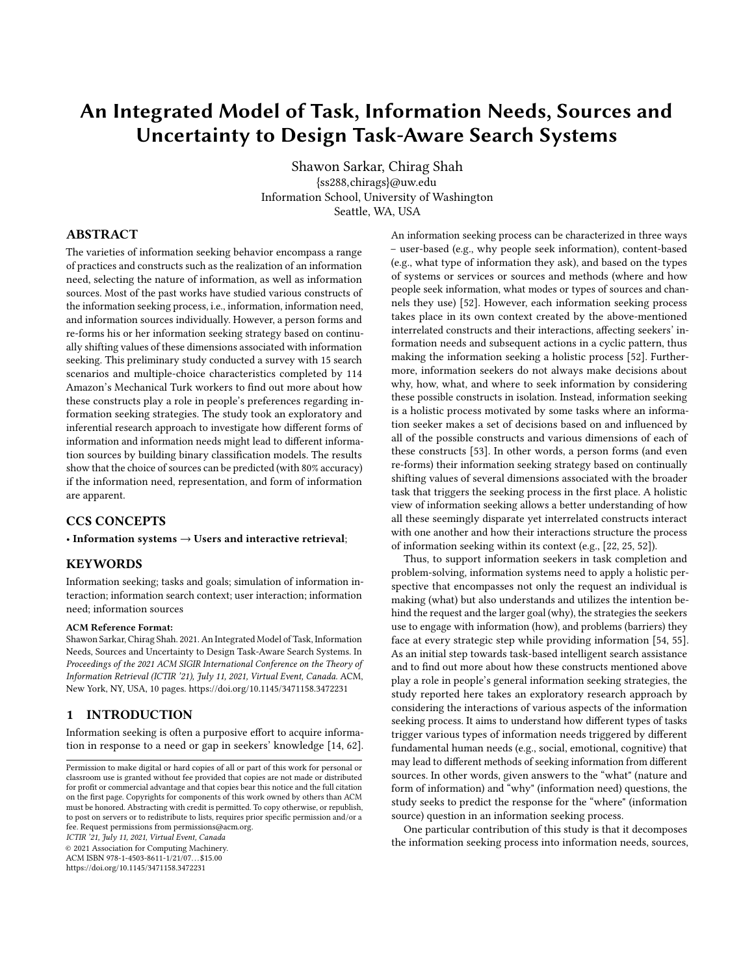# An Integrated Model of Task, Information Needs, Sources and Uncertainty to Design Task-Aware Search Systems

Shawon Sarkar, Chirag Shah {ss288,chirags}@uw.edu Information School, University of Washington Seattle, WA, USA

## ABSTRACT

The varieties of information seeking behavior encompass a range of practices and constructs such as the realization of an information need, selecting the nature of information, as well as information sources. Most of the past works have studied various constructs of the information seeking process, i.e., information, information need, and information sources individually. However, a person forms and re-forms his or her information seeking strategy based on continually shifting values of these dimensions associated with information seeking. This preliminary study conducted a survey with 15 search scenarios and multiple-choice characteristics completed by 114 Amazon's Mechanical Turk workers to find out more about how these constructs play a role in people's preferences regarding information seeking strategies. The study took an exploratory and inferential research approach to investigate how different forms of information and information needs might lead to different information sources by building binary classification models. The results show that the choice of sources can be predicted (with 80% accuracy) if the information need, representation, and form of information are apparent.

## CCS CONCEPTS

#### • Information systems  $\rightarrow$  Users and interactive retrieval;

#### KEYWORDS

Information seeking; tasks and goals; simulation of information interaction; information search context; user interaction; information need; information sources

#### ACM Reference Format:

Shawon Sarkar, Chirag Shah. 2021. An Integrated Model of Task, Information Needs, Sources and Uncertainty to Design Task-Aware Search Systems. In *Proceedings of the 2021 ACM SIGIR International Conference on the Theory of Information Retrieval (ICTIR '21), July 11, 2021, Virtual Event, Canada.* ACM, New York, NY, USA, [10](#page-9-0) pages.<https://doi.org/10.1145/3471158.3472231>

## 1 INTRODUCTION

Information seeking is often a purposive effort to acquire information in response to a need or gap in seekers' knowledge [\[14,](#page-8-0) [62\]](#page-9-1).

*ICTIR '21, July 11, 2021, Virtual Event, Canada*

© 2021 Association for Computing Machinery.

ACM ISBN 978-1-4503-8611-1/21/07. . . \$15.00 <https://doi.org/10.1145/3471158.3472231>

An information seeking process can be characterized in three ways – user-based (e.g., why people seek information), content-based (e.g., what type of information they ask), and based on the types of systems or services or sources and methods (where and how people seek information, what modes or types of sources and channels they use) [\[52\]](#page-8-1). However, each information seeking process takes place in its own context created by the above-mentioned interrelated constructs and their interactions, affecting seekers' information needs and subsequent actions in a cyclic pattern, thus making the information seeking a holistic process [\[52\]](#page-8-1). Furthermore, information seekers do not always make decisions about why, how, what, and where to seek information by considering these possible constructs in isolation. Instead, information seeking is a holistic process motivated by some tasks where an information seeker makes a set of decisions based on and influenced by all of the possible constructs and various dimensions of each of these constructs [\[53\]](#page-8-2). In other words, a person forms (and even re-forms) their information seeking strategy based on continually shifting values of several dimensions associated with the broader task that triggers the seeking process in the first place. A holistic view of information seeking allows a better understanding of how all these seemingly disparate yet interrelated constructs interact with one another and how their interactions structure the process of information seeking within its context (e.g., [\[22,](#page-8-3) [25,](#page-8-4) [52\]](#page-8-1)).

Thus, to support information seekers in task completion and problem-solving, information systems need to apply a holistic perspective that encompasses not only the request an individual is making (what) but also understands and utilizes the intention behind the request and the larger goal (why), the strategies the seekers use to engage with information (how), and problems (barriers) they face at every strategic step while providing information [\[54,](#page-8-5) [55\]](#page-9-2). As an initial step towards task-based intelligent search assistance and to find out more about how these constructs mentioned above play a role in people's general information seeking strategies, the study reported here takes an exploratory research approach by considering the interactions of various aspects of the information seeking process. It aims to understand how different types of tasks trigger various types of information needs triggered by different fundamental human needs (e.g., social, emotional, cognitive) that may lead to different methods of seeking information from different sources. In other words, given answers to the "what" (nature and form of information) and "why" (information need) questions, the study seeks to predict the response for the "where" (information source) question in an information seeking process.

One particular contribution of this study is that it decomposes the information seeking process into information needs, sources,

Permission to make digital or hard copies of all or part of this work for personal or classroom use is granted without fee provided that copies are not made or distributed for profit or commercial advantage and that copies bear this notice and the full citation on the first page. Copyrights for components of this work owned by others than ACM must be honored. Abstracting with credit is permitted. To copy otherwise, or republish, to post on servers or to redistribute to lists, requires prior specific permission and/or a fee. Request permissions from permissions@acm.org.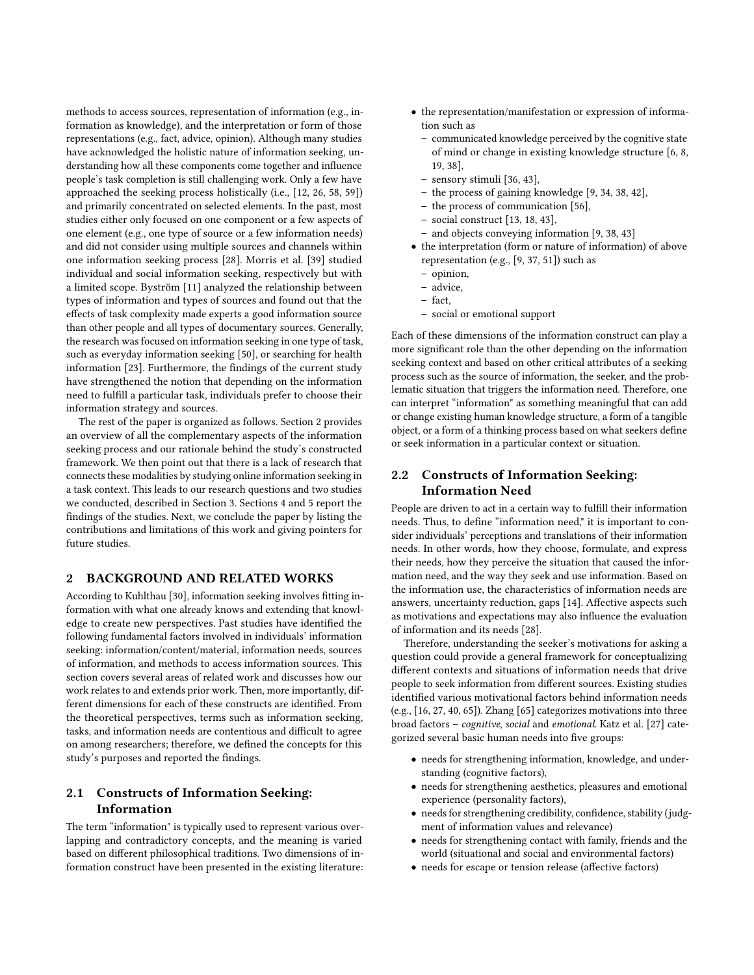methods to access sources, representation of information (e.g., information as knowledge), and the interpretation or form of those representations (e.g., fact, advice, opinion). Although many studies have acknowledged the holistic nature of information seeking, understanding how all these components come together and influence people's task completion is still challenging work. Only a few have approached the seeking process holistically (i.e., [\[12,](#page-8-6) [26,](#page-8-7) [58,](#page-9-3) [59\]](#page-9-4)) and primarily concentrated on selected elements. In the past, most studies either only focused on one component or a few aspects of one element (e.g., one type of source or a few information needs) and did not consider using multiple sources and channels within one information seeking process [\[28\]](#page-8-8). Morris et al. [\[39\]](#page-8-9) studied individual and social information seeking, respectively but with a limited scope. Byström [\[11\]](#page-8-10) analyzed the relationship between types of information and types of sources and found out that the effects of task complexity made experts a good information source than other people and all types of documentary sources. Generally, the research was focused on information seeking in one type of task, such as everyday information seeking [\[50\]](#page-8-11), or searching for health information [\[23\]](#page-8-12). Furthermore, the findings of the current study have strengthened the notion that depending on the information need to fulfill a particular task, individuals prefer to choose their information strategy and sources.

The rest of the paper is organized as follows. Section 2 provides an overview of all the complementary aspects of the information seeking process and our rationale behind the study's constructed framework. We then point out that there is a lack of research that connects these modalities by studying online information seeking in a task context. This leads to our research questions and two studies we conducted, described in Section 3. Sections 4 and 5 report the findings of the studies. Next, we conclude the paper by listing the contributions and limitations of this work and giving pointers for future studies.

## 2 BACKGROUND AND RELATED WORKS

According to Kuhlthau [\[30\]](#page-8-13), information seeking involves fitting information with what one already knows and extending that knowledge to create new perspectives. Past studies have identified the following fundamental factors involved in individuals' information seeking: information/content/material, information needs, sources of information, and methods to access information sources. This section covers several areas of related work and discusses how our work relates to and extends prior work. Then, more importantly, different dimensions for each of these constructs are identified. From the theoretical perspectives, terms such as information seeking, tasks, and information needs are contentious and difficult to agree on among researchers; therefore, we defined the concepts for this study's purposes and reported the findings.

# 2.1 Constructs of Information Seeking: Information

The term "information" is typically used to represent various overlapping and contradictory concepts, and the meaning is varied based on different philosophical traditions. Two dimensions of information construct have been presented in the existing literature:

- the representation/manifestation or expression of information such as
	- communicated knowledge perceived by the cognitive state of mind or change in existing knowledge structure [\[6,](#page-8-14) [8,](#page-8-15) [19,](#page-8-16) [38\]](#page-8-17),
	- sensory stimuli [\[36,](#page-8-18) [43\]](#page-8-19),
	- the process of gaining knowledge [\[9,](#page-8-20) [34,](#page-8-21) [38,](#page-8-17) [42\]](#page-8-22),
	- the process of communication [\[56\]](#page-9-5),
	- social construct [\[13,](#page-8-23) [18,](#page-8-24) [43\]](#page-8-19),
	- and objects conveying information [\[9,](#page-8-20) [38,](#page-8-17) [43\]](#page-8-19)
- the interpretation (form or nature of information) of above representation (e.g., [\[9,](#page-8-20) [37,](#page-8-25) [51\]](#page-8-26)) such as
	- opinion,
	- advice,
	- $-$  fact
	- social or emotional support

Each of these dimensions of the information construct can play a more significant role than the other depending on the information seeking context and based on other critical attributes of a seeking process such as the source of information, the seeker, and the problematic situation that triggers the information need. Therefore, one can interpret "information" as something meaningful that can add or change existing human knowledge structure, a form of a tangible object, or a form of a thinking process based on what seekers define or seek information in a particular context or situation.

# 2.2 Constructs of Information Seeking: Information Need

People are driven to act in a certain way to fulfill their information needs. Thus, to define "information need," it is important to consider individuals' perceptions and translations of their information needs. In other words, how they choose, formulate, and express their needs, how they perceive the situation that caused the information need, and the way they seek and use information. Based on the information use, the characteristics of information needs are answers, uncertainty reduction, gaps [\[14\]](#page-8-0). Affective aspects such as motivations and expectations may also influence the evaluation of information and its needs [\[28\]](#page-8-8).

Therefore, understanding the seeker's motivations for asking a question could provide a general framework for conceptualizing different contexts and situations of information needs that drive people to seek information from different sources. Existing studies identified various motivational factors behind information needs (e.g., [\[16,](#page-8-27) [27,](#page-8-28) [40,](#page-8-29) [65\]](#page-9-6)). Zhang [\[65\]](#page-9-6) categorizes motivations into three broad factors – *cognitive*, *social* and *emotional*. Katz et al. [\[27\]](#page-8-28) categorized several basic human needs into five groups:

- needs for strengthening information, knowledge, and understanding (cognitive factors),
- needs for strengthening aesthetics, pleasures and emotional experience (personality factors),
- $\bullet$  needs for strengthening credibility, confidence, stability (judgment of information values and relevance)
- needs for strengthening contact with family, friends and the world (situational and social and environmental factors)
- needs for escape or tension release (affective factors)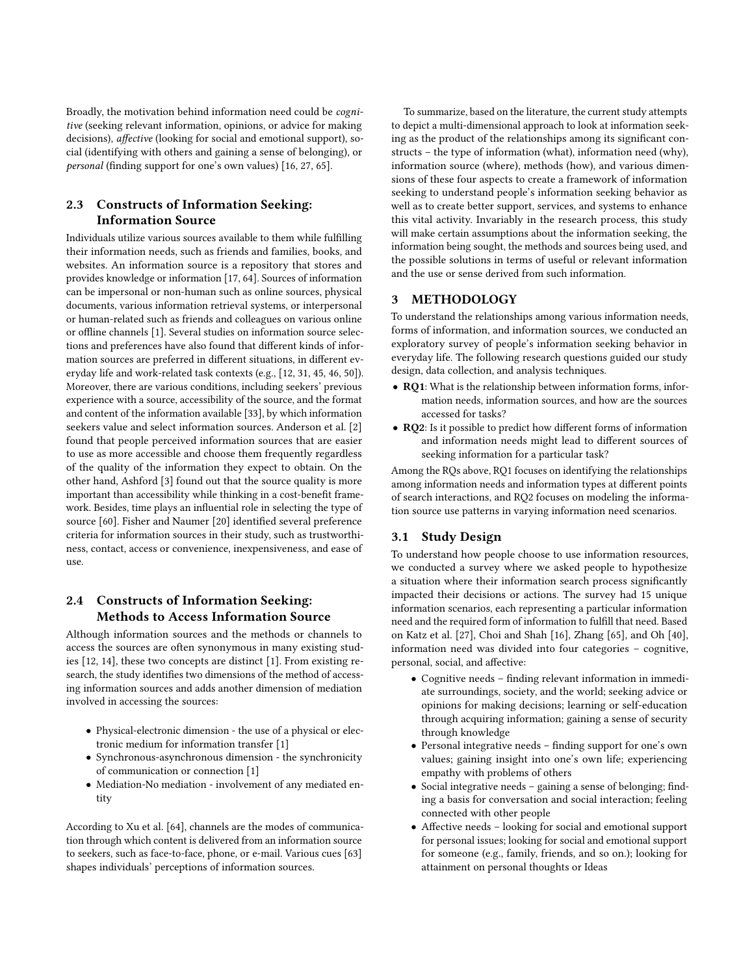Broadly, the motivation behind information need could be *cognitive* (seeking relevant information, opinions, or advice for making decisions), *a*!*ective* (looking for social and emotional support), social (identifying with others and gaining a sense of belonging), or *personal* (finding support for one's own values) [\[16,](#page-8-27) [27,](#page-8-28) [65\]](#page-9-6).

# 2.3 Constructs of Information Seeking: Information Source

Individuals utilize various sources available to them while fulfilling their information needs, such as friends and families, books, and websites. An information source is a repository that stores and provides knowledge or information [\[17,](#page-8-30) [64\]](#page-9-7). Sources of information can be impersonal or non-human such as online sources, physical documents, various information retrieval systems, or interpersonal or human-related such as friends and colleagues on various online or offline channels [\[1\]](#page-8-31). Several studies on information source selections and preferences have also found that different kinds of information sources are preferred in different situations, in different everyday life and work-related task contexts (e.g., [\[12,](#page-8-6) [31,](#page-8-32) [45,](#page-8-33) [46,](#page-8-34) [50\]](#page-8-11)). Moreover, there are various conditions, including seekers' previous experience with a source, accessibility of the source, and the format and content of the information available [\[33\]](#page-8-35), by which information seekers value and select information sources. Anderson et al. [\[2\]](#page-8-36) found that people perceived information sources that are easier to use as more accessible and choose them frequently regardless of the quality of the information they expect to obtain. On the other hand, Ashford [\[3\]](#page-8-37) found out that the source quality is more important than accessibility while thinking in a cost-benefit framework. Besides, time plays an influential role in selecting the type of source [\[60\]](#page-9-8). Fisher and Naumer [\[20\]](#page-8-38) identified several preference criteria for information sources in their study, such as trustworthiness, contact, access or convenience, inexpensiveness, and ease of use.

## 2.4 Constructs of Information Seeking: Methods to Access Information Source

Although information sources and the methods or channels to access the sources are often synonymous in many existing studies [\[12,](#page-8-6) [14\]](#page-8-0), these two concepts are distinct [\[1\]](#page-8-31). From existing research, the study identifies two dimensions of the method of accessing information sources and adds another dimension of mediation involved in accessing the sources:

- Physical-electronic dimension the use of a physical or electronic medium for information transfer [\[1\]](#page-8-31)
- Synchronous-asynchronous dimension the synchronicity of communication or connection [\[1\]](#page-8-31)
- Mediation-No mediation involvement of any mediated entity

According to Xu et al. [\[64\]](#page-9-7), channels are the modes of communication through which content is delivered from an information source to seekers, such as face-to-face, phone, or e-mail. Various cues [\[63\]](#page-9-9) shapes individuals' perceptions of information sources.

To summarize, based on the literature, the current study attempts to depict a multi-dimensional approach to look at information seeking as the product of the relationships among its significant constructs – the type of information (what), information need (why), information source (where), methods (how), and various dimensions of these four aspects to create a framework of information seeking to understand people's information seeking behavior as well as to create better support, services, and systems to enhance this vital activity. Invariably in the research process, this study will make certain assumptions about the information seeking, the information being sought, the methods and sources being used, and the possible solutions in terms of useful or relevant information and the use or sense derived from such information.

## **METHODOLOGY**

To understand the relationships among various information needs, forms of information, and information sources, we conducted an exploratory survey of people's information seeking behavior in everyday life. The following research questions guided our study design, data collection, and analysis techniques.

- RQ1: What is the relationship between information forms, information needs, information sources, and how are the sources accessed for tasks?
- RQ2: Is it possible to predict how different forms of information and information needs might lead to different sources of seeking information for a particular task?

Among the RQs above, RQ1 focuses on identifying the relationships among information needs and information types at different points of search interactions, and RQ2 focuses on modeling the information source use patterns in varying information need scenarios.

## 3.1 Study Design

To understand how people choose to use information resources, we conducted a survey where we asked people to hypothesize a situation where their information search process significantly impacted their decisions or actions. The survey had 15 unique information scenarios, each representing a particular information need and the required form of information to fulfill that need. Based on Katz et al. [\[27\]](#page-8-28), Choi and Shah [\[16\]](#page-8-27), Zhang [\[65\]](#page-9-6), and Oh [\[40\]](#page-8-29), information need was divided into four categories – cognitive, personal, social, and affective:

- Cognitive needs finding relevant information in immediate surroundings, society, and the world; seeking advice or opinions for making decisions; learning or self-education through acquiring information; gaining a sense of security through knowledge
- Personal integrative needs finding support for one's own values; gaining insight into one's own life; experiencing empathy with problems of others
- Social integrative needs  $-$  gaining a sense of belonging; finding a basis for conversation and social interaction; feeling connected with other people
- Affective needs looking for social and emotional support for personal issues; looking for social and emotional support for someone (e.g., family, friends, and so on.); looking for attainment on personal thoughts or Ideas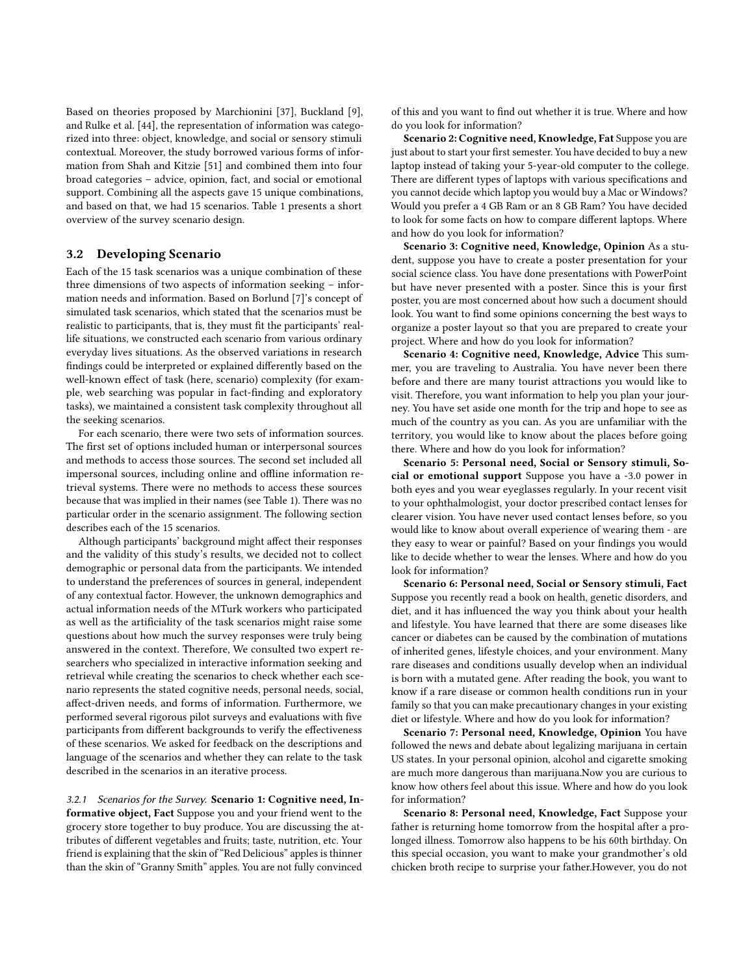Based on theories proposed by Marchionini [\[37\]](#page-8-25), Buckland [\[9\]](#page-8-20), and Rulke et al. [\[44\]](#page-8-39), the representation of information was categorized into three: object, knowledge, and social or sensory stimuli contextual. Moreover, the study borrowed various forms of information from Shah and Kitzie [\[51\]](#page-8-26) and combined them into four broad categories – advice, opinion, fact, and social or emotional support. Combining all the aspects gave 15 unique combinations, and based on that, we had 15 scenarios. Table [1](#page-4-0) presents a short overview of the survey scenario design.

## 3.2 Developing Scenario

Each of the 15 task scenarios was a unique combination of these three dimensions of two aspects of information seeking – information needs and information. Based on Borlund [\[7\]](#page-8-40)'s concept of simulated task scenarios, which stated that the scenarios must be realistic to participants, that is, they must fit the participants' reallife situations, we constructed each scenario from various ordinary everyday lives situations. As the observed variations in research findings could be interpreted or explained differently based on the well-known effect of task (here, scenario) complexity (for example, web searching was popular in fact-finding and exploratory tasks), we maintained a consistent task complexity throughout all the seeking scenarios.

For each scenario, there were two sets of information sources. The first set of options included human or interpersonal sources and methods to access those sources. The second set included all impersonal sources, including online and offline information retrieval systems. There were no methods to access these sources because that was implied in their names (see Table [1\)](#page-4-0). There was no particular order in the scenario assignment. The following section describes each of the 15 scenarios.

Although participants' background might affect their responses and the validity of this study's results, we decided not to collect demographic or personal data from the participants. We intended to understand the preferences of sources in general, independent of any contextual factor. However, the unknown demographics and actual information needs of the MTurk workers who participated as well as the artificiality of the task scenarios might raise some questions about how much the survey responses were truly being answered in the context. Therefore, We consulted two expert researchers who specialized in interactive information seeking and retrieval while creating the scenarios to check whether each scenario represents the stated cognitive needs, personal needs, social, affect-driven needs, and forms of information. Furthermore, we performed several rigorous pilot surveys and evaluations with five participants from different backgrounds to verify the effectiveness of these scenarios. We asked for feedback on the descriptions and language of the scenarios and whether they can relate to the task described in the scenarios in an iterative process.

*3.2.1 Scenarios for the Survey.* Scenario 1: Cognitive need, Informative object, Fact Suppose you and your friend went to the grocery store together to buy produce. You are discussing the attributes of different vegetables and fruits; taste, nutrition, etc. Your friend is explaining that the skin of "Red Delicious" apples is thinner than the skin of "Granny Smith" apples. You are not fully convinced

of this and you want to find out whether it is true. Where and how do you look for information?

Scenario 2: Cognitive need, Knowledge, Fat Suppose you are just about to start your first semester. You have decided to buy a new laptop instead of taking your 5-year-old computer to the college. There are different types of laptops with various specifications and you cannot decide which laptop you would buy a Mac or Windows? Would you prefer a 4 GB Ram or an 8 GB Ram? You have decided to look for some facts on how to compare different laptops. Where and how do you look for information?

Scenario 3: Cognitive need, Knowledge, Opinion As a student, suppose you have to create a poster presentation for your social science class. You have done presentations with PowerPoint but have never presented with a poster. Since this is your first poster, you are most concerned about how such a document should look. You want to find some opinions concerning the best ways to organize a poster layout so that you are prepared to create your project. Where and how do you look for information?

Scenario 4: Cognitive need, Knowledge, Advice This summer, you are traveling to Australia. You have never been there before and there are many tourist attractions you would like to visit. Therefore, you want information to help you plan your journey. You have set aside one month for the trip and hope to see as much of the country as you can. As you are unfamiliar with the territory, you would like to know about the places before going there. Where and how do you look for information?

Scenario 5: Personal need, Social or Sensory stimuli, Social or emotional support Suppose you have a -3.0 power in both eyes and you wear eyeglasses regularly. In your recent visit to your ophthalmologist, your doctor prescribed contact lenses for clearer vision. You have never used contact lenses before, so you would like to know about overall experience of wearing them - are they easy to wear or painful? Based on your findings you would like to decide whether to wear the lenses. Where and how do you look for information?

Scenario 6: Personal need, Social or Sensory stimuli, Fact Suppose you recently read a book on health, genetic disorders, and diet, and it has influenced the way you think about your health and lifestyle. You have learned that there are some diseases like cancer or diabetes can be caused by the combination of mutations of inherited genes, lifestyle choices, and your environment. Many rare diseases and conditions usually develop when an individual is born with a mutated gene. After reading the book, you want to know if a rare disease or common health conditions run in your family so that you can make precautionary changes in your existing diet or lifestyle. Where and how do you look for information?

Scenario 7: Personal need, Knowledge, Opinion You have followed the news and debate about legalizing marijuana in certain US states. In your personal opinion, alcohol and cigarette smoking are much more dangerous than marijuana.Now you are curious to know how others feel about this issue. Where and how do you look for information?

Scenario 8: Personal need, Knowledge, Fact Suppose your father is returning home tomorrow from the hospital after a prolonged illness. Tomorrow also happens to be his 60th birthday. On this special occasion, you want to make your grandmother's old chicken broth recipe to surprise your father.However, you do not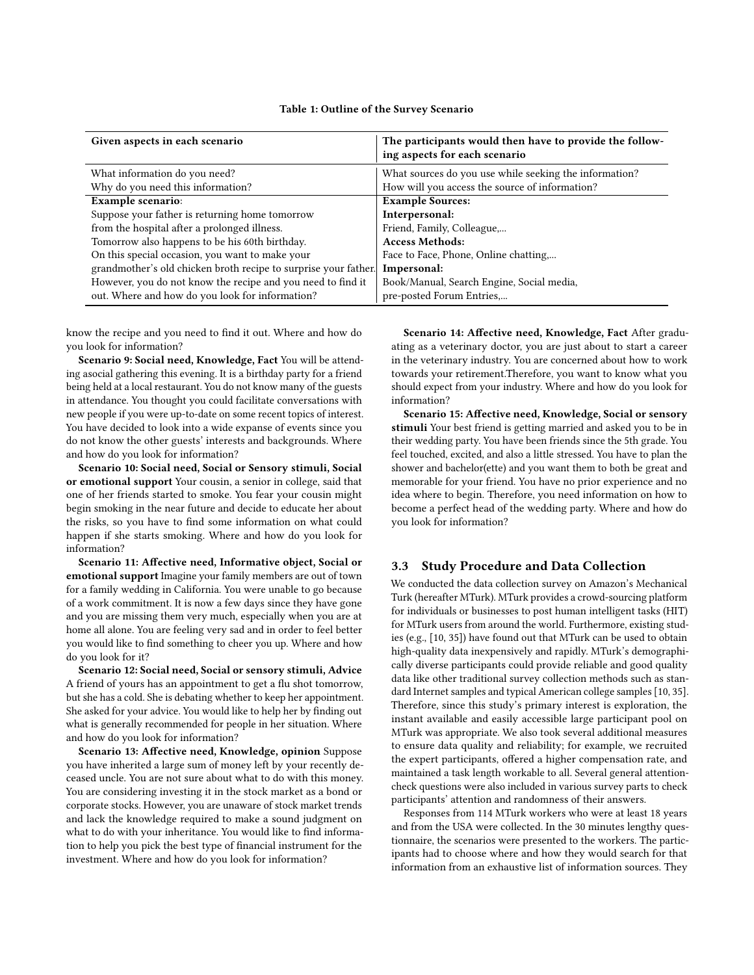|  | Table 1: Outline of the Survey Scenario |  |  |  |
|--|-----------------------------------------|--|--|--|
|--|-----------------------------------------|--|--|--|

<span id="page-4-0"></span>

| Given aspects in each scenario                                  | The participants would then have to provide the follow-<br>ing aspects for each scenario |
|-----------------------------------------------------------------|------------------------------------------------------------------------------------------|
| What information do you need?                                   | What sources do you use while seeking the information?                                   |
| Why do you need this information?                               | How will you access the source of information?                                           |
| <b>Example scenario:</b>                                        | <b>Example Sources:</b>                                                                  |
| Suppose your father is returning home tomorrow                  | Interpersonal:                                                                           |
| from the hospital after a prolonged illness.                    | Friend, Family, Colleague,                                                               |
| Tomorrow also happens to be his 60th birthday.                  | <b>Access Methods:</b>                                                                   |
| On this special occasion, you want to make your                 | Face to Face, Phone, Online chatting,                                                    |
| grandmother's old chicken broth recipe to surprise your father. | Impersonal:                                                                              |
| However, you do not know the recipe and you need to find it     | Book/Manual, Search Engine, Social media,                                                |
| out. Where and how do you look for information?                 | pre-posted Forum Entries,                                                                |

know the recipe and you need to find it out. Where and how do you look for information?

Scenario 9: Social need, Knowledge, Fact You will be attending asocial gathering this evening. It is a birthday party for a friend being held at a local restaurant. You do not know many of the guests in attendance. You thought you could facilitate conversations with new people if you were up-to-date on some recent topics of interest. You have decided to look into a wide expanse of events since you do not know the other guests' interests and backgrounds. Where and how do you look for information?

Scenario 10: Social need, Social or Sensory stimuli, Social or emotional support Your cousin, a senior in college, said that one of her friends started to smoke. You fear your cousin might begin smoking in the near future and decide to educate her about the risks, so you have to find some information on what could happen if she starts smoking. Where and how do you look for information?

Scenario 11: Affective need, Informative object, Social or emotional support Imagine your family members are out of town for a family wedding in California. You were unable to go because of a work commitment. It is now a few days since they have gone and you are missing them very much, especially when you are at home all alone. You are feeling very sad and in order to feel better you would like to find something to cheer you up. Where and how do you look for it?

Scenario 12: Social need, Social or sensory stimuli, Advice A friend of yours has an appointment to get a flu shot tomorrow, but she has a cold. She is debating whether to keep her appointment. She asked for your advice. You would like to help her by finding out what is generally recommended for people in her situation. Where and how do you look for information?

Scenario 13: Affective need, Knowledge, opinion Suppose you have inherited a large sum of money left by your recently deceased uncle. You are not sure about what to do with this money. You are considering investing it in the stock market as a bond or corporate stocks. However, you are unaware of stock market trends and lack the knowledge required to make a sound judgment on what to do with your inheritance. You would like to find information to help you pick the best type of financial instrument for the investment. Where and how do you look for information?

Scenario 14: Affective need, Knowledge, Fact After graduating as a veterinary doctor, you are just about to start a career in the veterinary industry. You are concerned about how to work towards your retirement.Therefore, you want to know what you should expect from your industry. Where and how do you look for information?

Scenario 15: Affective need, Knowledge, Social or sensory stimuli Your best friend is getting married and asked you to be in their wedding party. You have been friends since the 5th grade. You feel touched, excited, and also a little stressed. You have to plan the shower and bachelor(ette) and you want them to both be great and memorable for your friend. You have no prior experience and no idea where to begin. Therefore, you need information on how to become a perfect head of the wedding party. Where and how do you look for information?

#### 3.3 Study Procedure and Data Collection

We conducted the data collection survey on Amazon's Mechanical Turk (hereafter MTurk). MTurk provides a crowd-sourcing platform for individuals or businesses to post human intelligent tasks (HIT) for MTurk users from around the world. Furthermore, existing studies (e.g., [\[10,](#page-8-41) [35\]](#page-8-42)) have found out that MTurk can be used to obtain high-quality data inexpensively and rapidly. MTurk's demographically diverse participants could provide reliable and good quality data like other traditional survey collection methods such as standard Internet samples and typical American college samples [\[10,](#page-8-41) [35\]](#page-8-42). Therefore, since this study's primary interest is exploration, the instant available and easily accessible large participant pool on MTurk was appropriate. We also took several additional measures to ensure data quality and reliability; for example, we recruited the expert participants, offered a higher compensation rate, and maintained a task length workable to all. Several general attentioncheck questions were also included in various survey parts to check participants' attention and randomness of their answers.

Responses from 114 MTurk workers who were at least 18 years and from the USA were collected. In the 30 minutes lengthy questionnaire, the scenarios were presented to the workers. The participants had to choose where and how they would search for that information from an exhaustive list of information sources. They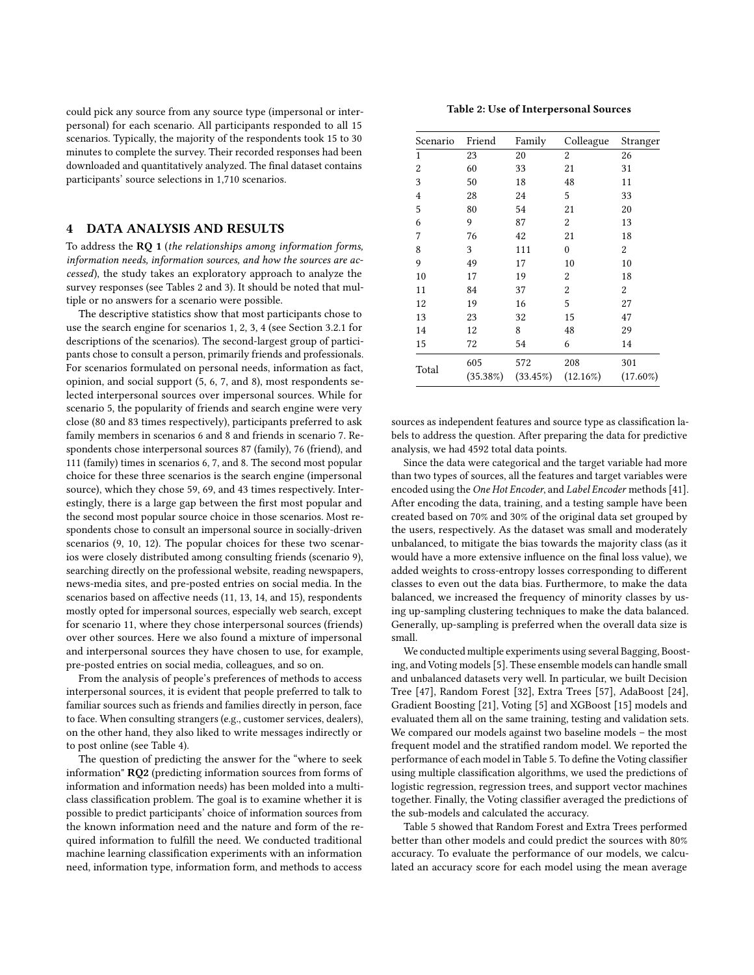could pick any source from any source type (impersonal or interpersonal) for each scenario. All participants responded to all 15 scenarios. Typically, the majority of the respondents took 15 to 30 minutes to complete the survey. Their recorded responses had been downloaded and quantitatively analyzed. The final dataset contains participants' source selections in 1,710 scenarios.

## 4 DATA ANALYSIS AND RESULTS

To address the RQ 1 (*the relationships among information forms, information needs, information sources, and how the sources are accessed*), the study takes an exploratory approach to analyze the survey responses (see Tables [2](#page-5-0) and [3\)](#page-6-0). It should be noted that multiple or no answers for a scenario were possible.

The descriptive statistics show that most participants chose to use the search engine for scenarios 1, 2, 3, 4 (see Section 3.2.1 for descriptions of the scenarios). The second-largest group of participants chose to consult a person, primarily friends and professionals. For scenarios formulated on personal needs, information as fact, opinion, and social support (5, 6, 7, and 8), most respondents selected interpersonal sources over impersonal sources. While for scenario 5, the popularity of friends and search engine were very close (80 and 83 times respectively), participants preferred to ask family members in scenarios 6 and 8 and friends in scenario 7. Respondents chose interpersonal sources 87 (family), 76 (friend), and 111 (family) times in scenarios 6, 7, and 8. The second most popular choice for these three scenarios is the search engine (impersonal source), which they chose 59, 69, and 43 times respectively. Interestingly, there is a large gap between the first most popular and the second most popular source choice in those scenarios. Most respondents chose to consult an impersonal source in socially-driven scenarios (9, 10, 12). The popular choices for these two scenarios were closely distributed among consulting friends (scenario 9), searching directly on the professional website, reading newspapers, news-media sites, and pre-posted entries on social media. In the scenarios based on affective needs (11, 13, 14, and 15), respondents mostly opted for impersonal sources, especially web search, except for scenario 11, where they chose interpersonal sources (friends) over other sources. Here we also found a mixture of impersonal and interpersonal sources they have chosen to use, for example, pre-posted entries on social media, colleagues, and so on.

From the analysis of people's preferences of methods to access interpersonal sources, it is evident that people preferred to talk to familiar sources such as friends and families directly in person, face to face. When consulting strangers (e.g., customer services, dealers), on the other hand, they also liked to write messages indirectly or to post online (see Table [4\)](#page-6-1).

The question of predicting the answer for the "where to seek information" RQ2 (predicting information sources from forms of information and information needs) has been molded into a multiclass classification problem. The goal is to examine whether it is possible to predict participants' choice of information sources from the known information need and the nature and form of the required information to fulfill the need. We conducted traditional machine learning classification experiments with an information need, information type, information form, and methods to access

Table 2: Use of Interpersonal Sources

<span id="page-5-0"></span>

| Scenario | Friend   | Family   | Colleague    | Stranger    |
|----------|----------|----------|--------------|-------------|
| 1        | 23       | 20       | 2            | 26          |
| 2        | 60       | 33       | 21           | 31          |
| 3        | 50       | 18       | 48           | 11          |
| 4        | 28       | 24       | 5            | 33          |
| 5        | 80       | 54       | 21           | 20          |
| 6        | 9        | 87       | 2            | 13          |
| 7        | 76       | 42       | 21           | 18          |
| 8        | 3        | 111      | $\mathbf{0}$ | 2           |
| 9        | 49       | 17       | 10           | 10          |
| 10       | 17       | 19       | 2            | 18          |
| 11       | 84       | 37       | 2            | 2           |
| 12       | 19       | 16       | 5            | 27          |
| 13       | 23       | 32       | 15           | 47          |
| 14       | 12       | 8        | 48           | 29          |
| 15       | 72       | 54       | 6            | 14          |
| Total    | 605      | 572      | 208          | 301         |
|          | (35.38%) | (33.45%) | $(12.16\%)$  | $(17.60\%)$ |

sources as independent features and source type as classification labels to address the question. After preparing the data for predictive analysis, we had 4592 total data points.

Since the data were categorical and the target variable had more than two types of sources, all the features and target variables were encoded using the *One Hot Encoder*, and *Label Encoder* methods [\[41\]](#page-8-43). After encoding the data, training, and a testing sample have been created based on 70% and 30% of the original data set grouped by the users, respectively. As the dataset was small and moderately unbalanced, to mitigate the bias towards the majority class (as it would have a more extensive influence on the final loss value), we added weights to cross-entropy losses corresponding to different classes to even out the data bias. Furthermore, to make the data balanced, we increased the frequency of minority classes by using up-sampling clustering techniques to make the data balanced. Generally, up-sampling is preferred when the overall data size is small.

We conducted multiple experiments using several Bagging, Boosting, and Voting models [\[5\]](#page-8-44). These ensemble models can handle small and unbalanced datasets very well. In particular, we built Decision Tree [\[47\]](#page-8-45), Random Forest [\[32\]](#page-8-46), Extra Trees [\[57\]](#page-9-10), AdaBoost [\[24\]](#page-8-47), Gradient Boosting [\[21\]](#page-8-48), Voting [\[5\]](#page-8-44) and XGBoost [\[15\]](#page-8-49) models and evaluated them all on the same training, testing and validation sets. We compared our models against two baseline models – the most frequent model and the stratified random model. We reported the performance of each model in Table [5.](#page-6-2) To define the Voting classifier using multiple classification algorithms, we used the predictions of logistic regression, regression trees, and support vector machines together. Finally, the Voting classifier averaged the predictions of the sub-models and calculated the accuracy.

Table [5](#page-6-2) showed that Random Forest and Extra Trees performed better than other models and could predict the sources with 80% accuracy. To evaluate the performance of our models, we calculated an accuracy score for each model using the mean average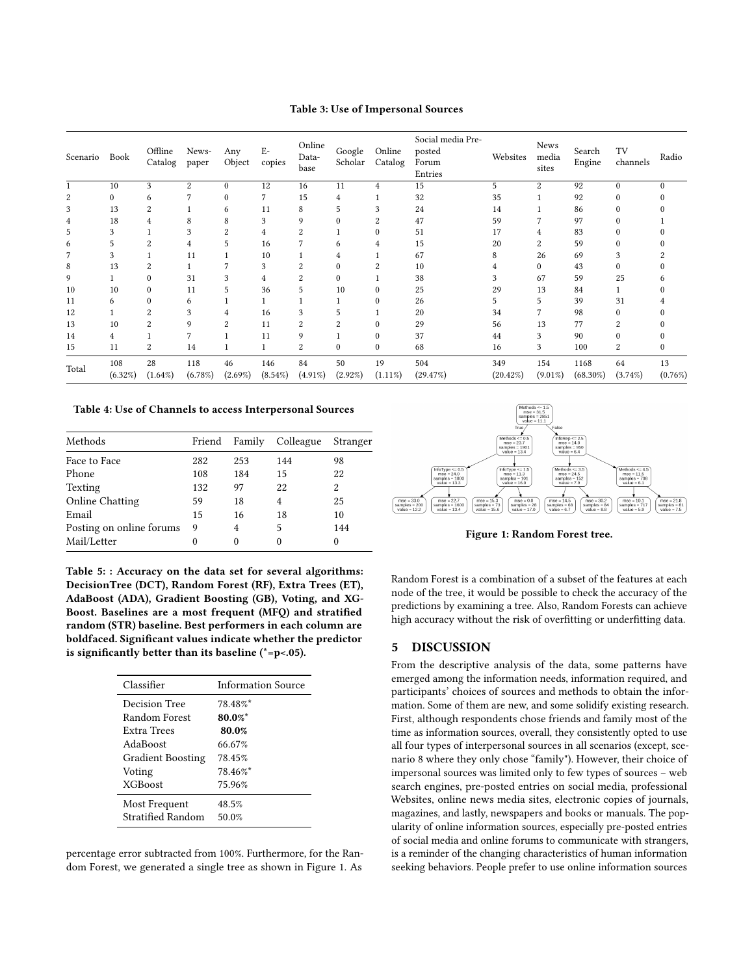Table 3: Use of Impersonal Sources

<span id="page-6-0"></span>

| Scenario | Book           | Offline<br>Catalog | News-<br>paper | Any<br>Object    | $E-$<br>copies    | Online<br>Data-<br>base | Google<br>Scholar | Online<br>Catalog | Social media Pre-<br>posted<br>Forum<br>Entries | Websites           | <b>News</b><br>media<br>sites | Search<br>Engine    | TV<br>channels   | Radio         |
|----------|----------------|--------------------|----------------|------------------|-------------------|-------------------------|-------------------|-------------------|-------------------------------------------------|--------------------|-------------------------------|---------------------|------------------|---------------|
|          | 10             | 3                  | $\overline{c}$ | $\mathbf{0}$     | 12                | 16                      | 11                | $\overline{4}$    | 15                                              | 5                  | 2                             | 92                  | $\mathbf{0}$     | $\Omega$      |
| 2        | 0              | 6                  |                | $\bf{0}$         |                   | 15                      | 4                 |                   | 32                                              | 35                 |                               | 92                  | 0                |               |
| 3        | 13             | 2                  |                | 6                | 11                | 8                       | 5                 | 3                 | 24                                              | 14                 |                               | 86                  | $\Omega$         |               |
| 4        | 18             |                    | 8              | 8                | 3                 | 9                       |                   |                   | 47                                              | 59                 |                               | 97                  | $\Omega$         |               |
| 5        | 3              |                    | 3              | 2                | 4                 | 2                       |                   |                   | 51                                              | 17                 | 4                             | 83                  | 0                |               |
| 6        | 5              | 2                  | 4              | 5                | 16                |                         | 6                 | 4                 | 15                                              | 20                 | $\overline{c}$                | 59                  | $\Omega$         |               |
| 7        | 3              |                    | 11             |                  | 10                |                         |                   |                   | 67                                              | 8                  | 26                            | 69                  | 3                |               |
| 8        | 13             | 2                  |                |                  | 3                 | 2                       |                   |                   | 10                                              |                    | $\theta$                      | 43                  | $\theta$         |               |
| 9        |                | $\Omega$           | 31             | 3                | 4                 |                         | $\Omega$          |                   | 38                                              | 3                  | 67                            | 59                  | 25               |               |
| 10       | 10             | $\boldsymbol{0}$   | 11             | 5                | 36                | 5                       | 10                | $\Omega$          | 25                                              | 29                 | 13                            | 84                  |                  |               |
| 11       | 6              | 0                  | 6              |                  |                   |                         |                   |                   | 26                                              | 5                  | 5                             | 39                  | 31               |               |
| 12       |                |                    | 3              | 4                | 16                |                         |                   |                   | 20                                              | 34                 |                               | 98                  | 0                |               |
| 13       | 10             | 2                  | 9              | $\overline{c}$   | 11                | 2                       | $\overline{c}$    | $\Omega$          | 29                                              | 56                 | 13                            | 77                  | 2                |               |
| 14       | 4              |                    |                |                  | 11                | 9                       |                   | $\Omega$          | 37                                              | 44                 | 3                             | 90                  | 0                |               |
| 15       | 11             | 2                  | 14             |                  |                   | $\boldsymbol{2}$        | $\mathbf{0}$      | $\mathbf{0}$      | 68                                              | 16                 | 3                             | 100                 | 2                |               |
| Total    | 108<br>(6.32%) | 28<br>$(1.64\%)$   | 118<br>(6.78%) | 46<br>$(2.69\%)$ | 146<br>$(8.54\%)$ | 84<br>$(4.91\%)$        | 50<br>$(2.92\%)$  | 19<br>$(1.11\%)$  | 504<br>(29.47%)                                 | 349<br>$(20.42\%)$ | 154<br>$(9.01\%)$             | 1168<br>$(68.30\%)$ | 64<br>$(3.74\%)$ | 13<br>(0.76%) |

<span id="page-6-1"></span>Table 4: Use of Channels to access Interpersonal Sources

| Methods                  | Friend | Family | Colleague | Stranger |
|--------------------------|--------|--------|-----------|----------|
| Face to Face             | 282    | 253    | 144       | 98       |
| Phone                    | 108    | 184    | 15        | 22       |
| Texting                  | 132    | 97     | 22        | 2        |
| <b>Online Chatting</b>   | 59     | 18     | 4         | 25       |
| Email                    | 15     | 16     | 18        | 10       |
| Posting on online forums | 9      | 4      | 5         | 144      |
| Mail/Letter              |        | 0      | 0         | 0        |

<span id="page-6-2"></span>Table 5: : Accuracy on the data set for several algorithms: DecisionTree (DCT), Random Forest (RF), Extra Trees (ET), AdaBoost (ADA), Gradient Boosting (GB), Voting, and XG-Boost. Baselines are a most frequent (MFQ) and stratified random (STR) baseline. Best performers in each column are boldfaced. Significant values indicate whether the predictor is significantly better than its baseline ( $* = p < .05$ ).

| Classifier               | Information Source |  |  |  |
|--------------------------|--------------------|--|--|--|
| Decision Tree            | $78.48\%$          |  |  |  |
| Random Forest            | $80.0\%$ *         |  |  |  |
| Extra Trees              | 80.0%              |  |  |  |
| AdaBoost                 | 66.67%             |  |  |  |
| <b>Gradient Boosting</b> | 78.45%             |  |  |  |
| Voting                   | $78.46\%$ *        |  |  |  |
| <b>XGBoost</b>           | 75.96%             |  |  |  |
| Most Frequent            | 48.5%              |  |  |  |
| Stratified Random        | 50.0%              |  |  |  |

percentage error subtracted from 100%. Furthermore, for the Random Forest, we generated a single tree as shown in Figure [1.](#page-6-3) As

<span id="page-6-3"></span>

Figure 1: Random Forest tree.

Random Forest is a combination of a subset of the features at each node of the tree, it would be possible to check the accuracy of the predictions by examining a tree. Also, Random Forests can achieve high accuracy without the risk of overfitting or underfitting data.

#### 5 DISCUSSION

From the descriptive analysis of the data, some patterns have emerged among the information needs, information required, and participants' choices of sources and methods to obtain the information. Some of them are new, and some solidify existing research. First, although respondents chose friends and family most of the time as information sources, overall, they consistently opted to use all four types of interpersonal sources in all scenarios (except, scenario 8 where they only chose "family"). However, their choice of impersonal sources was limited only to few types of sources – web search engines, pre-posted entries on social media, professional Websites, online news media sites, electronic copies of journals, magazines, and lastly, newspapers and books or manuals. The popularity of online information sources, especially pre-posted entries of social media and online forums to communicate with strangers, is a reminder of the changing characteristics of human information seeking behaviors. People prefer to use online information sources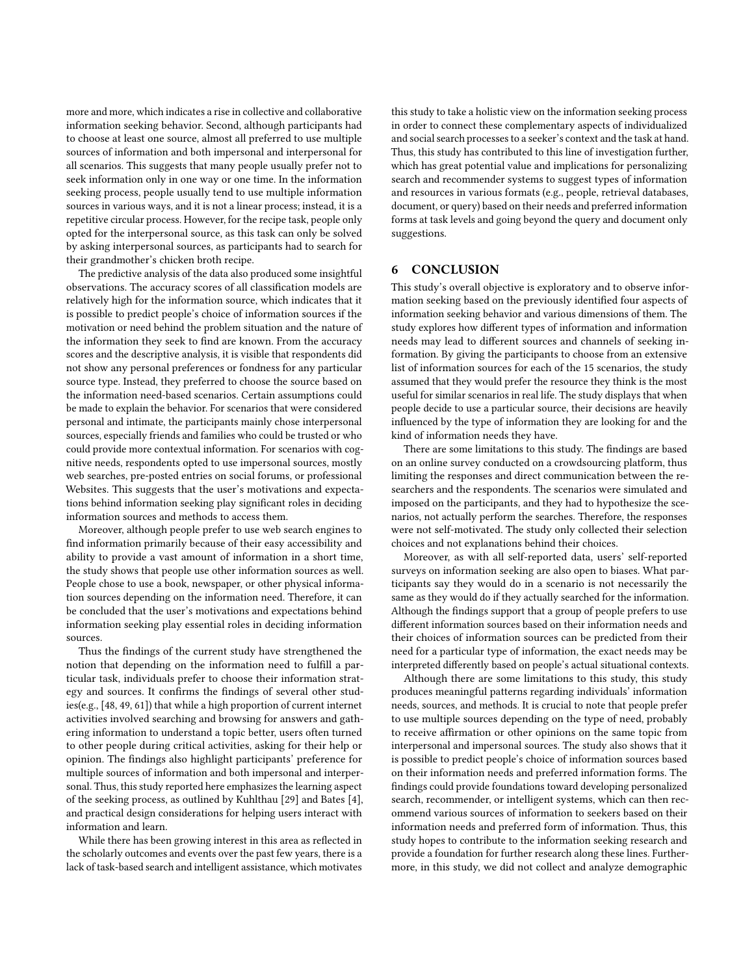more and more, which indicates a rise in collective and collaborative information seeking behavior. Second, although participants had to choose at least one source, almost all preferred to use multiple sources of information and both impersonal and interpersonal for all scenarios. This suggests that many people usually prefer not to seek information only in one way or one time. In the information seeking process, people usually tend to use multiple information sources in various ways, and it is not a linear process; instead, it is a repetitive circular process. However, for the recipe task, people only opted for the interpersonal source, as this task can only be solved by asking interpersonal sources, as participants had to search for their grandmother's chicken broth recipe.

The predictive analysis of the data also produced some insightful observations. The accuracy scores of all classification models are relatively high for the information source, which indicates that it is possible to predict people's choice of information sources if the motivation or need behind the problem situation and the nature of the information they seek to find are known. From the accuracy scores and the descriptive analysis, it is visible that respondents did not show any personal preferences or fondness for any particular source type. Instead, they preferred to choose the source based on the information need-based scenarios. Certain assumptions could be made to explain the behavior. For scenarios that were considered personal and intimate, the participants mainly chose interpersonal sources, especially friends and families who could be trusted or who could provide more contextual information. For scenarios with cognitive needs, respondents opted to use impersonal sources, mostly web searches, pre-posted entries on social forums, or professional Websites. This suggests that the user's motivations and expectations behind information seeking play significant roles in deciding information sources and methods to access them.

Moreover, although people prefer to use web search engines to find information primarily because of their easy accessibility and ability to provide a vast amount of information in a short time, the study shows that people use other information sources as well. People chose to use a book, newspaper, or other physical information sources depending on the information need. Therefore, it can be concluded that the user's motivations and expectations behind information seeking play essential roles in deciding information sources.

Thus the findings of the current study have strengthened the notion that depending on the information need to fulfill a particular task, individuals prefer to choose their information strategy and sources. It confirms the findings of several other studies(e.g., [\[48,](#page-8-50) [49,](#page-8-51) [61\]](#page-9-11)) that while a high proportion of current internet activities involved searching and browsing for answers and gathering information to understand a topic better, users often turned to other people during critical activities, asking for their help or opinion. The findings also highlight participants' preference for multiple sources of information and both impersonal and interpersonal. Thus, this study reported here emphasizes the learning aspect of the seeking process, as outlined by Kuhlthau [\[29\]](#page-8-52) and Bates [\[4\]](#page-8-53), and practical design considerations for helping users interact with information and learn.

While there has been growing interest in this area as reflected in the scholarly outcomes and events over the past few years, there is a lack of task-based search and intelligent assistance, which motivates this study to take a holistic view on the information seeking process in order to connect these complementary aspects of individualized and social search processes to a seeker's context and the task at hand. Thus, this study has contributed to this line of investigation further, which has great potential value and implications for personalizing search and recommender systems to suggest types of information and resources in various formats (e.g., people, retrieval databases, document, or query) based on their needs and preferred information forms at task levels and going beyond the query and document only suggestions.

## 6 CONCLUSION

This study's overall objective is exploratory and to observe information seeking based on the previously identified four aspects of information seeking behavior and various dimensions of them. The study explores how different types of information and information needs may lead to different sources and channels of seeking information. By giving the participants to choose from an extensive list of information sources for each of the 15 scenarios, the study assumed that they would prefer the resource they think is the most useful for similar scenarios in real life. The study displays that when people decide to use a particular source, their decisions are heavily influenced by the type of information they are looking for and the kind of information needs they have.

There are some limitations to this study. The findings are based on an online survey conducted on a crowdsourcing platform, thus limiting the responses and direct communication between the researchers and the respondents. The scenarios were simulated and imposed on the participants, and they had to hypothesize the scenarios, not actually perform the searches. Therefore, the responses were not self-motivated. The study only collected their selection choices and not explanations behind their choices.

Moreover, as with all self-reported data, users' self-reported surveys on information seeking are also open to biases. What participants say they would do in a scenario is not necessarily the same as they would do if they actually searched for the information. Although the findings support that a group of people prefers to use different information sources based on their information needs and their choices of information sources can be predicted from their need for a particular type of information, the exact needs may be interpreted differently based on people's actual situational contexts.

Although there are some limitations to this study, this study produces meaningful patterns regarding individuals' information needs, sources, and methods. It is crucial to note that people prefer to use multiple sources depending on the type of need, probably to receive affirmation or other opinions on the same topic from interpersonal and impersonal sources. The study also shows that it is possible to predict people's choice of information sources based on their information needs and preferred information forms. The findings could provide foundations toward developing personalized search, recommender, or intelligent systems, which can then recommend various sources of information to seekers based on their information needs and preferred form of information. Thus, this study hopes to contribute to the information seeking research and provide a foundation for further research along these lines. Furthermore, in this study, we did not collect and analyze demographic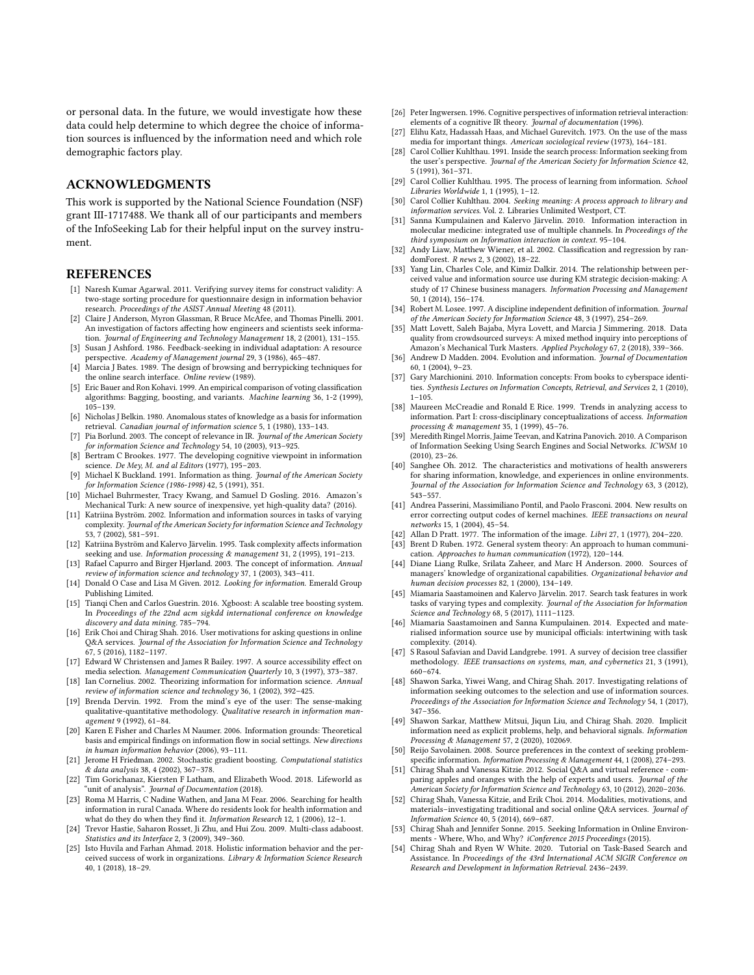or personal data. In the future, we would investigate how these data could help determine to which degree the choice of information sources is influenced by the information need and which role demographic factors play.

#### ACKNOWLEDGMENTS

This work is supported by the National Science Foundation (NSF) grant III-1717488. We thank all of our participants and members of the InfoSeeking Lab for their helpful input on the survey instrument.

## **REFERENCES**

- <span id="page-8-31"></span>[1] Naresh Kumar Agarwal. 2011. Verifying survey items for construct validity: A two-stage sorting procedure for questionnaire design in information behavior research. *Proceedings of the ASIST Annual Meeting* 48 (2011).
- <span id="page-8-36"></span>[2] Claire J Anderson, Myron Glassman, R Bruce McAfee, and Thomas Pinelli. 2001. An investigation of factors affecting how engineers and scientists seek information. *Journal of Engineering and Technology Management* 18, 2 (2001), 131–155.
- <span id="page-8-37"></span>[3] Susan J Ashford. 1986. Feedback-seeking in individual adaptation: A resource perspective. *Academy of Management journal* 29, 3 (1986), 465–487.
- <span id="page-8-53"></span>[4] Marcia J Bates. 1989. The design of browsing and berrypicking techniques for the online search interface. *Online review* (1989).
- <span id="page-8-44"></span>[5] Eric Bauer and Ron Kohavi. 1999. An empirical comparison of voting classification algorithms: Bagging, boosting, and variants. *Machine learning* 36, 1-2 (1999), 105–139.
- <span id="page-8-14"></span>[6] Nicholas J Belkin. 1980. Anomalous states of knowledge as a basis for information retrieval. *Canadian journal of information science* 5, 1 (1980), 133–143.
- <span id="page-8-40"></span>[7] Pia Borlund. 2003. The concept of relevance in IR. *Journal of the American Society for information Science and Technology* 54, 10 (2003), 913–925.
- <span id="page-8-15"></span>[8] Bertram C Brookes. 1977. The developing cognitive viewpoint in information science. *De Mey, M. and al Editors* (1977), 195–203.
- <span id="page-8-20"></span>[9] Michael K Buckland. 1991. Information as thing. *Journal of the American Society for Information Science (1986-1998)* 42, 5 (1991), 351.
- <span id="page-8-41"></span>[10] Michael Buhrmester, Tracy Kwang, and Samuel D Gosling. 2016. Amazon's Mechanical Turk: A new source of inexpensive, yet high-quality data? (2016).
- <span id="page-8-10"></span>[11] Katriina Byström. 2002. Information and information sources in tasks of varying complexity. *Journal of the American Society for information Science and Technology* 53, 7 (2002), 581–591.
- <span id="page-8-6"></span>[12] Katriina Byström and Kalervo Järvelin. 1995. Task complexity affects information seeking and use. *Information processing & management* 31, 2 (1995), 191–213.
- <span id="page-8-23"></span>[13] Rafael Capurro and Birger Hjørland. 2003. The concept of information. *Annual review of information science and technology* 37, 1 (2003), 343–411.
- <span id="page-8-0"></span>[14] Donald O Case and Lisa M Given. 2012. *Looking for information*. Emerald Group Publishing Limited.
- <span id="page-8-49"></span>[15] Tianqi Chen and Carlos Guestrin. 2016. Xgboost: A scalable tree boosting system. In *Proceedings of the 22nd acm sigkdd international conference on knowledge discovery and data mining*. 785–794.
- <span id="page-8-27"></span>[16] Erik Choi and Chirag Shah. 2016. User motivations for asking questions in online Q&A services. *Journal of the Association for Information Science and Technology* 67, 5 (2016), 1182–1197.
- <span id="page-8-30"></span>[17] Edward W Christensen and James R Bailey. 1997. A source accessibility effect on media selection. *Management Communication Quarterly* 10, 3 (1997), 373–387.
- <span id="page-8-24"></span>[18] Ian Cornelius. 2002. Theorizing information for information science. *Annual review of information science and technology* 36, 1 (2002), 392–425.
- <span id="page-8-16"></span>[19] Brenda Dervin. 1992. From the mind's eye of the user: The sense-making qualitative-quantitative methodology. *Qualitative research in information management* 9 (1992), 61–84.
- <span id="page-8-38"></span>[20] Karen E Fisher and Charles M Naumer. 2006. Information grounds: Theoretical basis and empirical findings on information flow in social settings. *New directions in human information behavior* (2006), 93–111.
- <span id="page-8-48"></span>[21] Jerome H Friedman. 2002. Stochastic gradient boosting. *Computational statistics & data analysis* 38, 4 (2002), 367–378.
- <span id="page-8-3"></span>[22] Tim Gorichanaz, Kiersten F Latham, and Elizabeth Wood. 2018. Lifeworld as "unit of analysis". *Journal of Documentation* (2018).
- <span id="page-8-12"></span>[23] Roma M Harris, C Nadine Wathen, and Jana M Fear. 2006. Searching for health information in rural Canada. Where do residents look for health information and what do they do when they find it. *Information Research* 12, 1 (2006), 12-1.
- <span id="page-8-47"></span>[24] Trevor Hastie, Saharon Rosset, Ji Zhu, and Hui Zou. 2009. Multi-class adaboost. *Statistics and its Interface* 2, 3 (2009), 349–360.
- <span id="page-8-4"></span>[25] Isto Huvila and Farhan Ahmad. 2018. Holistic information behavior and the perceived success of work in organizations. *Library & Information Science Research* 40, 1 (2018), 18–29.
- <span id="page-8-7"></span>[26] Peter Ingwersen. 1996. Cognitive perspectives of information retrieval interaction: elements of a cognitive IR theory. *Journal of documentation* (1996).
- <span id="page-8-28"></span>[27] Elihu Katz, Hadassah Haas, and Michael Gurevitch. 1973. On the use of the mass media for important things. *American sociological review* (1973), 164–181.
- <span id="page-8-8"></span>[28] Carol Collier Kuhlthau. 1991. Inside the search process: Information seeking from the user's perspective. *Journal of the American Society for Information Science* 42, 5 (1991), 361–371.
- <span id="page-8-52"></span>[29] Carol Collier Kuhlthau. 1995. The process of learning from information. *School Libraries Worldwide* 1, 1 (1995), 1–12.
- <span id="page-8-13"></span>[30] Carol Collier Kuhlthau. 2004. *Seeking meaning: A process approach to library and information services*. Vol. 2. Libraries Unlimited Westport, CT.
- <span id="page-8-32"></span>[31] Sanna Kumpulainen and Kalervo Järvelin. 2010. Information interaction in molecular medicine: integrated use of multiple channels. In *Proceedings of the third symposium on Information interaction in context*. 95–104.
- <span id="page-8-46"></span>[32] Andy Liaw, Matthew Wiener, et al. 2002. Classification and regression by randomForest. *R news* 2, 3 (2002), 18–22.
- <span id="page-8-35"></span>[33] Yang Lin, Charles Cole, and Kimiz Dalkir. 2014. The relationship between perceived value and information source use during KM strategic decision-making: A study of 17 Chinese business managers. *Information Processing and Management* 50, 1 (2014), 156–174.
- <span id="page-8-21"></span>[34] Robert M. Losee. 1997. A discipline independent definition of information. *Journal of the American Society for Information Science* 48, 3 (1997), 254–269.
- <span id="page-8-42"></span>[35] Matt Lovett, Saleh Bajaba, Myra Lovett, and Marcia J Simmering. 2018. Data quality from crowdsourced surveys: A mixed method inquiry into perceptions of Amazon's Mechanical Turk Masters. *Applied Psychology* 67, 2 (2018), 339–366.
- <span id="page-8-18"></span>[36] Andrew D Madden. 2004. Evolution and information. *Journal of Documentation* 60, 1 (2004), 9–23.
- <span id="page-8-25"></span>[37] Gary Marchionini. 2010. Information concepts: From books to cyberspace identities. *Synthesis Lectures on Information Concepts, Retrieval, and Services* 2, 1 (2010),  $1 - 105$
- <span id="page-8-17"></span>[38] Maureen McCreadie and Ronald E Rice. 1999. Trends in analyzing access to information. Part I: cross-disciplinary conceptualizations of access. *Information processing & management* 35, 1 (1999), 45–76.
- <span id="page-8-9"></span>[39] Meredith Ringel Morris, Jaime Teevan, and Katrina Panovich. 2010. A Comparison of Information Seeking Using Search Engines and Social Networks. *ICWSM* 10 (2010), 23–26.
- <span id="page-8-29"></span>[40] Sanghee Oh. 2012. The characteristics and motivations of health answerers for sharing information, knowledge, and experiences in online environments. *Journal of the Association for Information Science and Technology* 63, 3 (2012), 543–557.
- <span id="page-8-43"></span>[41] Andrea Passerini, Massimiliano Pontil, and Paolo Frasconi. 2004. New results on error correcting output codes of kernel machines. *IEEE transactions on neural networks* 15, 1 (2004), 45–54.
- <span id="page-8-22"></span><span id="page-8-19"></span>[42] Allan D Pratt. 1977. The information of the image. *Libri* 27, 1 (1977), 204–220. [43] Brent D Ruben. 1972. General system theory: An approach to human communi-
- <span id="page-8-39"></span>cation. *Approaches to human communication* (1972), 120–144. [44] Diane Liang Rulke, Srilata Zaheer, and Marc H Anderson. 2000. Sources of managers' knowledge of organizational capabilities. *Organizational behavior and human decision processes* 82, 1 (2000), 134–149.
- <span id="page-8-33"></span>[45] Miamaria Saastamoinen and Kalervo Järvelin. 2017. Search task features in work tasks of varying types and complexity. *Journal of the Association for Information Science and Technology* 68, 5 (2017), 1111–1123.
- <span id="page-8-34"></span>[46] Miamaria Saastamoinen and Sanna Kumpulainen. 2014. Expected and materialised information source use by municipal officials: intertwining with task complexity. (2014).
- <span id="page-8-45"></span>[47] S Rasoul Safavian and David Landgrebe. 1991. A survey of decision tree classifier methodology. *IEEE transactions on systems, man, and cybernetics* 21, 3 (1991), 660–674.
- <span id="page-8-50"></span>[48] Shawon Sarka, Yiwei Wang, and Chirag Shah. 2017. Investigating relations of information seeking outcomes to the selection and use of information sources. *Proceedings of the Association for Information Science and Technology* 54, 1 (2017), 347–356.
- <span id="page-8-51"></span>[49] Shawon Sarkar, Matthew Mitsui, Jiqun Liu, and Chirag Shah. 2020. Implicit information need as explicit problems, help, and behavioral signals. *Information Processing & Management* 57, 2 (2020), 102069.
- <span id="page-8-11"></span>[50] Reijo Savolainen. 2008. Source preferences in the context of seeking problemspecific information. *Information Processing & Management* 44, 1 (2008), 274-293.
- <span id="page-8-26"></span>[51] Chirag Shah and Vanessa Kitzie. 2012. Social Q&A and virtual reference - comparing apples and oranges with the help of experts and users. *Journal of the American Society for Information Science and Technology* 63, 10 (2012), 2020–2036.
- <span id="page-8-1"></span>[52] Chirag Shah, Vanessa Kitzie, and Erik Choi. 2014. Modalities, motivations, and materials–investigating traditional and social online Q&A services. *Journal of Information Science* 40, 5 (2014), 669–687.
- <span id="page-8-2"></span>[53] Chirag Shah and Jennifer Sonne. 2015. Seeking Information in Online Environments - Where, Who, and Why? *iConference 2015 Proceedings* (2015).
- <span id="page-8-5"></span>[54] Chirag Shah and Ryen W White. 2020. Tutorial on Task-Based Search and Assistance. In *Proceedings of the 43rd International ACM SIGIR Conference on Research and Development in Information Retrieval*. 2436–2439.